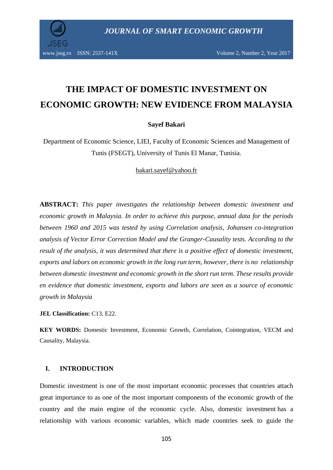

# **THE IMPACT OF DOMESTIC INVESTMENT ON ECONOMIC GROWTH: NEW EVIDENCE FROM MALAYSIA**

**Sayef Bakari**

Department of Economic Science, LIEI, Faculty of Economic Sciences and Management of Tunis (FSEGT), University of Tunis El Manar, Tunisia.

[bakari.sayef@yahoo.fr](mailto:bakari.sayef@yahoo.fr)

**ABSTRACT:** *This paper investigates the relationship between domestic investment and economic growth in Malaysia. In order to achieve this purpose, annual data for the periods between 1960 and 2015 was tested by using Correlation analysis, Johansen co-integration analysis of Vector Error Correction Model and the Granger-Causality tests. According to the result of the analysis, it was determined that there is a positive effect of domestic investment, exports and labors on economic growth in the long run term, however, there is no relationship between domestic investment and economic growth in the short run term. These results provide en evidence that domestic investment, exports and labors are seen as a source of economic growth in Malaysia*

**JEL Classification:** C13, E22.

**KEY WORDS:** Domestic Investment, Economic Growth, Correlation, Cointegration, VECM and Causality, Malaysia.

## **I. INTRODUCTION**

Domestic investment is one of the most important economic processes that countries attach great importance to as one of the most important components of the economic growth of the country and the main engine of the economic cycle. Also, domestic investment has a relationship with various economic variables, which made countries seek to guide the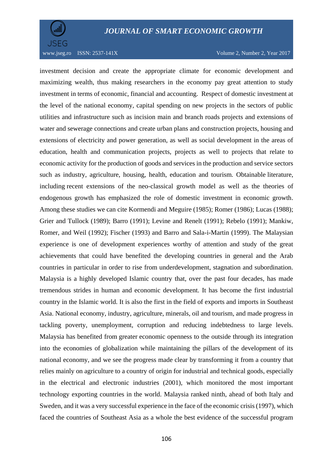



investment decision and create the appropriate climate for economic development and maximizing wealth, thus making researchers in the economy pay great attention to study investment in terms of economic, financial and accounting. Respect of domestic investment at the level of the national economy, capital spending on new projects in the sectors of public utilities and infrastructure such as incision main and branch roads projects and extensions of water and sewerage connections and create urban plans and construction projects, housing and extensions of electricity and power generation, as well as social development in the areas of education, health and communication projects, projects as well to projects that relate to economic activity for the production of goods and services in the production and service sectors such as industry, agriculture, housing, health, education and tourism. Obtainable literature, including recent extensions of the neo-classical growth model as well as the theories of endogenous growth has emphasized the role of domestic investment in economic growth. Among these studies we can cite Kormendi and Meguire (1985); Romer (1986); Lucas (1988); Grier and Tullock (1989); Barro (1991); Levine and Renelt (1991); Rebelo (1991); Mankiw, Romer, and Weil (1992); Fischer (1993) and Barro and Sala-i-Martin (1999). The Malaysian experience is one of development experiences worthy of attention and study of the great achievements that could have benefited the developing countries in general and the Arab countries in particular in order to rise from underdevelopment, stagnation and subordination. Malaysia is a highly developed Islamic country that, over the past four decades, has made tremendous strides in human and economic development. It has become the first industrial country in the Islamic world. It is also the first in the field of exports and imports in Southeast Asia. National economy, industry, agriculture, minerals, oil and tourism, and made progress in tackling poverty, unemployment, corruption and reducing indebtedness to large levels. Malaysia has benefited from greater economic openness to the outside through its integration into the economies of globalization while maintaining the pillars of the development of its national economy, and we see the progress made clear by transforming it from a country that relies mainly on agriculture to a country of origin for industrial and technical goods, especially in the electrical and electronic industries (2001), which monitored the most important technology exporting countries in the world. Malaysia ranked ninth, ahead of both Italy and Sweden, and it was a very successful experience in the face of the economic crisis (1997), which faced the countries of Southeast Asia as a whole the best evidence of the successful program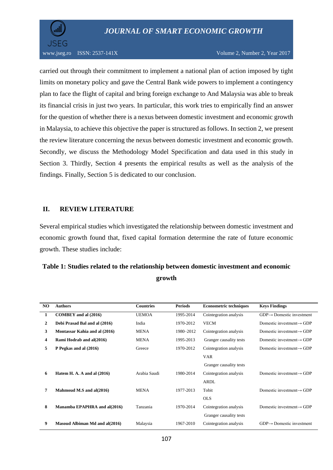



#### www.jseg.ro ISSN:  $2537-141X$  Volume 2, Number 2, Year 2017

carried out through their commitment to implement a national plan of action imposed by tight limits on monetary policy and gave the Central Bank wide powers to implement a contingency plan to face the flight of capital and bring foreign exchange to And Malaysia was able to break its financial crisis in just two years. In particular, this work tries to empirically find an answer for the question of whether there is a nexus between domestic investment and economic growth in Malaysia, to achieve this objective the paper is structured as follows. In section 2, we present the review literature concerning the nexus between domestic investment and economic growth. Secondly, we discuss the Methodology Model Specification and data used in this study in Section 3. Thirdly, Section 4 presents the empirical results as well as the analysis of the findings. Finally, Section 5 is dedicated to our conclusion.

#### **II. REVIEW LITERATURE**

Several empirical studies which investigated the relationship between domestic investment and economic growth found that, fixed capital formation determine the rate of future economic growth. These studies include:

# **Table 1: Studies related to the relationship between domestic investment and economic growth**

| NO. | <b>Authors</b>                 | <b>Countries</b> | <b>Periods</b> | <b>Econometric techniques</b> | <b>Keys Findings</b>                  |
|-----|--------------------------------|------------------|----------------|-------------------------------|---------------------------------------|
| 1   | <b>COMBEY</b> and al (2016)    | <b>UEMOA</b>     | 1995-2014      | Cointegration analysis        | $GDP \rightarrow$ Domestic investment |
| 2   | Debi Prasad Bal and al (2016)  | India            | 1970-2012      | <b>VECM</b>                   | Domestic investment $\rightarrow$ GDP |
| 3   | Montassar Kahia and al (2016)  | <b>MENA</b>      | 1980-2012      | Cointegration analysis        | Domestic investment $\rightarrow$ GDP |
| 4   | Rami Hodrab and al(2016)       | <b>MENA</b>      | 1995-2013      | Granger causality tests       | Domestic investment $\rightarrow$ GDP |
| 5   | P Pegkas and al (2016)         | Greece           | 1970-2012      | Cointegration analysis        | Domestic investment $\rightarrow$ GDP |
|     |                                |                  |                | <b>VAR</b>                    |                                       |
|     |                                |                  |                | Granger causality tests       |                                       |
| 6   | Hatem H. A. A and al $(2016)$  | Arabia Saudi     | 1980-2014      | Cointegration analysis        | Domestic investment $\rightarrow$ GDP |
|     |                                |                  |                | <b>ARDL</b>                   |                                       |
| 7   | Mahmoud M.S and al(2016)       | <b>MENA</b>      | 1977-2013      | Tobit                         | Domestic investment $\rightarrow$ GDP |
|     |                                |                  |                | <b>OLS</b>                    |                                       |
| 8   | Manamba EPAPHRA and al(2016)   | Tanzania         | 1970-2014      | Cointegration analysis        | Domestic investment $\rightarrow$ GDP |
|     |                                |                  |                | Granger causality tests       |                                       |
| 9   | Masoud Albiman Md and al(2016) | Malaysia         | 1967-2010      | Cointegration analysis        | $GDP \rightarrow$ Domestic investment |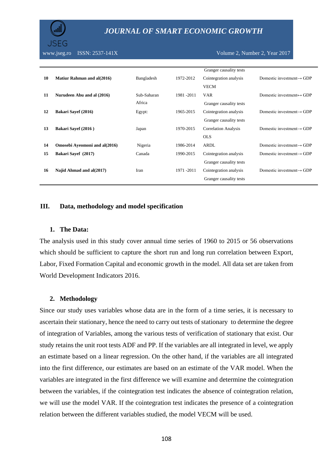

www.jseg.ro ISSN: 2537-141X Volume 2, Number 2, Year 2017

|    |                                   |             |             | Granger causality tests     |                                           |
|----|-----------------------------------|-------------|-------------|-----------------------------|-------------------------------------------|
| 10 | <b>Matiur Rahman and al(2016)</b> | Bangladesh  | 1972-2012   | Cointegration analysis      | Domestic investment $\rightarrow$ GDP     |
|    |                                   |             |             | <b>VECM</b>                 |                                           |
| 11 | Nurudeen Abu and al (2016)        | Sub-Saharan | 1981 - 2011 | <b>VAR</b>                  | Domestic investment $\leftrightarrow$ GDP |
|    |                                   | Africa      |             | Granger causality tests     |                                           |
| 12 | Bakari Sayef (2016)               | Egypt:      | 1965-2015   | Cointegration analysis      | Domestic investment $\rightarrow$ GDP     |
|    |                                   |             |             | Granger causality tests     |                                           |
| 13 | Bakari Sayef (2016)               | Japan       | 1970-2015   | <b>Correlation Analysis</b> | Domestic investment $\rightarrow$ GDP     |
|    |                                   |             |             | <b>OLS</b>                  |                                           |
| 14 | Omosebi Ayeomoni and al(2016)     | Nigeria     | 1986-2014   | ARDL                        | Domestic investment $\rightarrow$ GDP     |
| 15 | Bakari Sayef (2017)               | Canada      | 1990-2015   | Cointegration analysis      | Domestic investment $\rightarrow$ GDP     |
|    |                                   |             |             | Granger causality tests     |                                           |
| 16 | Najid Ahmad and al(2017)          | Iran        | 1971 - 2011 | Cointegration analysis      | Domestic investment $\rightarrow$ GDP     |
|    |                                   |             |             | Granger causality tests     |                                           |
|    |                                   |             |             |                             |                                           |

#### **III. Data, methodology and model specification**

#### **1. The Data:**

The analysis used in this study cover annual time series of 1960 to 2015 or 56 observations which should be sufficient to capture the short run and long run correlation between Export, Labor, Fixed Formation Capital and economic growth in the model. All data set are taken from World Development Indicators 2016.

#### **2. Methodology**

Since our study uses variables whose data are in the form of a time series, it is necessary to ascertain their stationary, hence the need to carry out tests of stationary to determine the degree of integration of Variables, among the various tests of verification of stationary that exist. Our study retains the unit root tests ADF and PP. If the variables are all integrated in level, we apply an estimate based on a linear regression. On the other hand, if the variables are all integrated into the first difference, our estimates are based on an estimate of the VAR model. When the variables are integrated in the first difference we will examine and determine the cointegration between the variables, if the cointegration test indicates the absence of cointegration relation, we will use the model VAR. If the cointegration test indicates the presence of a cointegration relation between the different variables studied, the model VECM will be used.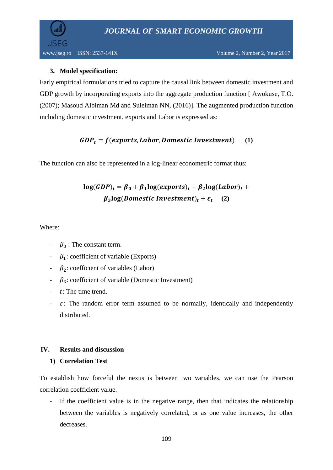

## **3. Model specification:**

Early empirical formulations tried to capture the causal link between domestic investment and GDP growth by incorporating exports into the aggregate production function [ Awokuse, T.O. (2007); Masoud Albiman Md and Suleiman NN, (2016)]. The augmented production function including domestic investment, exports and Labor is expressed as:

## $GDP_t = f(exports, Labor, Domestic Investment)$  (1)

The function can also be represented in a log-linear econometric format thus:

# $\log(GDP)_t = \beta_0 + \beta_1 \log(exports)_t + \beta_2 \log(Labor)_t +$  $\beta_3$ **log**(Domestic Investment)<sub>t</sub> +  $\varepsilon_t$  (2)

## Where:

- $\beta_0$ : The constant term.
- $\beta_1$ : coefficient of variable (Exports)
- $\beta_2$ : coefficient of variables (Labor)
- $-\beta_3$ : coefficient of variable (Domestic Investment)
- $\cdot$  t: The time trend.
- $\epsilon$ : The random error term assumed to be normally, identically and independently distributed.

## **IV. Results and discussion**

## **1) Correlation Test**

To establish how forceful the nexus is between two variables, we can use the Pearson correlation coefficient value.

- If the coefficient value is in the negative range, then that indicates the relationship between the variables is negatively correlated, or as one value increases, the other decreases.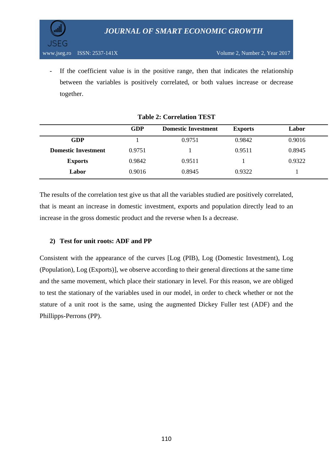

- If the coefficient value is in the positive range, then that indicates the relationship between the variables is positively correlated, or both values increase or decrease together.

|                            | <b>GDP</b> | <b>Domestic Investment</b> | <b>Exports</b> | Labor  |
|----------------------------|------------|----------------------------|----------------|--------|
| GDP                        |            | 0.9751                     | 0.9842         | 0.9016 |
| <b>Domestic Investment</b> | 0.9751     |                            | 0.9511         | 0.8945 |
| <b>Exports</b>             | 0.9842     | 0.9511                     |                | 0.9322 |
| Labor                      | 0.9016     | 0.8945                     | 0.9322         |        |

**Table 2: Correlation TEST**

The results of the correlation test give us that all the variables studied are positively correlated, that is meant an increase in domestic investment, exports and population directly lead to an increase in the gross domestic product and the reverse when Is a decrease.

## **2) Test for unit roots: ADF and PP**

Consistent with the appearance of the curves [Log (PIB), Log (Domestic Investment), Log (Population), Log (Exports)], we observe according to their general directions at the same time and the same movement, which place their stationary in level. For this reason, we are obliged to test the stationary of the variables used in our model, in order to check whether or not the stature of a unit root is the same, using the augmented Dickey Fuller test (ADF) and the Phillipps-Perrons (PP).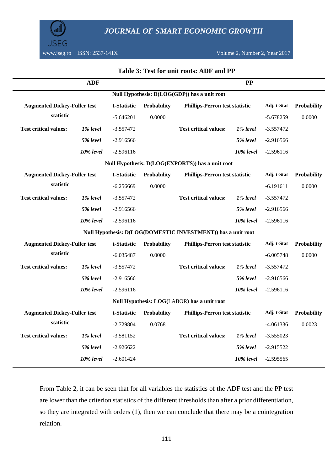

www.jseg.ro ISSN: 2537-141X Volume 2, Number 2, Year 2017

|                                              | <b>ADF</b> |             |             |                                                              | PP        |             |             |  |
|----------------------------------------------|------------|-------------|-------------|--------------------------------------------------------------|-----------|-------------|-------------|--|
| Null Hypothesis: D(LOG(GDP)) has a unit root |            |             |             |                                                              |           |             |             |  |
| <b>Augmented Dickey-Fuller test</b>          |            | t-Statistic | Probability | <b>Phillips-Perron test statistic</b>                        |           | Adj. t-Stat | Probability |  |
| statistic                                    |            | $-5.646201$ | 0.0000      |                                                              |           | $-5.678259$ | 0.0000      |  |
| <b>Test critical values:</b>                 | 1% level   | $-3.557472$ |             | <b>Test critical values:</b>                                 | 1% level  | $-3.557472$ |             |  |
|                                              | 5% level   | $-2.916566$ |             |                                                              | 5% level  | $-2.916566$ |             |  |
|                                              | 10% level  | $-2.596116$ |             |                                                              | 10% level | $-2.596116$ |             |  |
|                                              |            |             |             | Null Hypothesis: D(LOG(EXPORTS)) has a unit root             |           |             |             |  |
| <b>Augmented Dickey-Fuller test</b>          |            | t-Statistic | Probability | <b>Phillips-Perron test statistic</b>                        |           | Adj. t-Stat | Probability |  |
| statistic                                    |            | $-6.256669$ | 0.0000      |                                                              |           | $-6.191611$ | 0.0000      |  |
| <b>Test critical values:</b>                 | 1% level   | $-3.557472$ |             | <b>Test critical values:</b>                                 | 1% level  | $-3.557472$ |             |  |
|                                              | 5% level   | $-2.916566$ |             |                                                              | 5% level  | $-2.916566$ |             |  |
|                                              | 10% level  | $-2.596116$ |             |                                                              | 10% level | $-2.596116$ |             |  |
|                                              |            |             |             | Null Hypothesis: D(LOG(DOMESTIC INVESTMENT)) has a unit root |           |             |             |  |
| <b>Augmented Dickey-Fuller test</b>          |            | t-Statistic | Probability | <b>Phillips-Perron test statistic</b>                        |           | Adj. t-Stat | Probability |  |
| statistic                                    |            | $-6.035487$ | 0.0000      |                                                              |           | $-6.005748$ | 0.0000      |  |
| <b>Test critical values:</b>                 | 1% level   | $-3.557472$ |             | <b>Test critical values:</b>                                 | 1% level  | $-3.557472$ |             |  |
|                                              | 5% level   | $-2.916566$ |             |                                                              | 5% level  | $-2.916566$ |             |  |
|                                              | 10% level  | $-2.596116$ |             |                                                              | 10% level | $-2.596116$ |             |  |
|                                              |            |             |             | Null Hypothesis: LOG(LABOR) has a unit root                  |           |             |             |  |
| <b>Augmented Dickey-Fuller test</b>          |            | t-Statistic | Probability | <b>Phillips-Perron test statistic</b>                        |           | Adj. t-Stat | Probability |  |
| statistic                                    |            | $-2.729804$ | 0.0768      |                                                              |           | $-4.061336$ | 0.0023      |  |
| <b>Test critical values:</b>                 | 1% level   | $-3.581152$ |             | <b>Test critical values:</b>                                 | 1% level  | $-3.555023$ |             |  |
|                                              | 5% level   | $-2.926622$ |             |                                                              | 5% level  | $-2.915522$ |             |  |
|                                              | 10% level  | $-2.601424$ |             |                                                              | 10% level | $-2.595565$ |             |  |

## **Table 3: Test for unit roots: ADF and PP**

From Table 2, it can be seen that for all variables the statistics of the ADF test and the PP test are lower than the criterion statistics of the different thresholds than after a prior differentiation, so they are integrated with orders (1), then we can conclude that there may be a cointegration relation.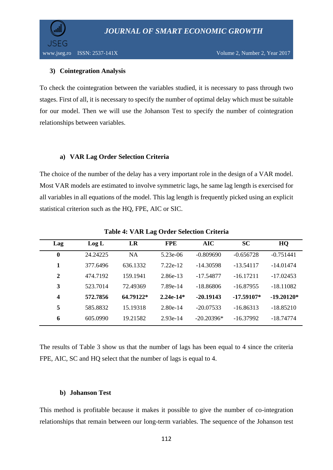

## **3) Cointegration Analysis**

To check the cointegration between the variables studied, it is necessary to pass through two stages. First of all, it is necessary to specify the number of optimal delay which must be suitable for our model. Then we will use the Johanson Test to specify the number of cointegration relationships between variables.

#### **a) VAR Lag Order Selection Criteria**

The choice of the number of the delay has a very important role in the design of a VAR model. Most VAR models are estimated to involve symmetric lags, he same lag length is exercised for all variables in all equations of the model. This lag length is frequently picked using an explicit statistical criterion such as the HQ, FPE, AIC or SIC.

| Lag              | Log L    | LR        | <b>FPE</b>  | <b>AIC</b>   | <b>SC</b>    | HQ           |
|------------------|----------|-----------|-------------|--------------|--------------|--------------|
| $\boldsymbol{0}$ | 24.24225 | <b>NA</b> | 5.23e-06    | $-0.809690$  | $-0.656728$  | $-0.751441$  |
| 1                | 377.6496 | 636.1332  | $7.22e-12$  | $-14.30598$  | $-13.54117$  | $-14.01474$  |
| 2                | 474.7192 | 159.1941  | 2.86e-13    | -17.54877    | $-16.17211$  | $-17.02453$  |
| 3                | 523.7014 | 72.49369  | 7.89e-14    | $-18.86806$  | $-16.87955$  | $-18.11082$  |
| 4                | 572.7856 | 64.79122* | $2.24e-14*$ | $-20.19143$  | $-17.59107*$ | $-19.20120*$ |
| 5                | 585.8832 | 15.19318  | $2.80e-14$  | $-20.07533$  | $-16.86313$  | $-18.85210$  |
| 6                | 605.0990 | 19.21582  | $2.93e-14$  | $-20.20396*$ | $-16.37992$  | $-18.74774$  |

**Table 4: VAR Lag Order Selection Criteria**

The results of Table 3 show us that the number of lags has been equal to 4 since the criteria FPE, AIC, SC and HQ select that the number of lags is equal to 4.

#### **b) Johanson Test**

This method is profitable because it makes it possible to give the number of co-integration relationships that remain between our long-term variables. The sequence of the Johanson test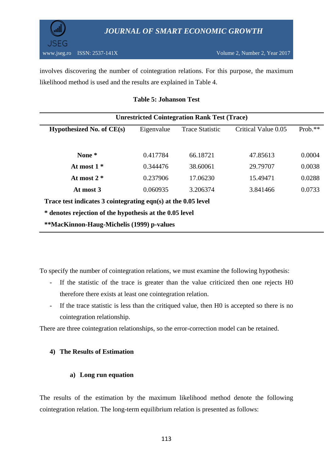

involves discovering the number of cointegration relations. For this purpose, the maximum likelihood method is used and the results are explained in Table 4.

#### **Table 5: Johanson Test**

| <b>Unrestricted Cointegration Rank Test (Trace)</b>           |            |                        |                     |           |  |  |  |
|---------------------------------------------------------------|------------|------------------------|---------------------|-----------|--|--|--|
| Hypothesized No. of CE(s)                                     | Eigenvalue | <b>Trace Statistic</b> | Critical Value 0.05 | $Prob.**$ |  |  |  |
| None *                                                        | 0.417784   | 66.18721               | 47.85613            | 0.0004    |  |  |  |
| At most $1*$                                                  | 0.344476   | 38.60061               | 29.79707            | 0.0038    |  |  |  |
| At most $2*$                                                  | 0.237906   | 17.06230               | 15.49471            | 0.0288    |  |  |  |
| At most 3                                                     | 0.060935   | 3.206374               | 3.841466            | 0.0733    |  |  |  |
| Trace test indicates 3 cointegrating eqn(s) at the 0.05 level |            |                        |                     |           |  |  |  |
| * denotes rejection of the hypothesis at the 0.05 level       |            |                        |                     |           |  |  |  |
| **MacKinnon-Haug-Michelis (1999) p-values                     |            |                        |                     |           |  |  |  |

To specify the number of cointegration relations, we must examine the following hypothesis:

- If the statistic of the trace is greater than the value criticized then one rejects H0 therefore there exists at least one cointegration relation.
- If the trace statistic is less than the critiqued value, then H0 is accepted so there is no cointegration relationship.

There are three cointegration relationships, so the error-correction model can be retained.

#### **4) The Results of Estimation**

#### **a) Long run equation**

The results of the estimation by the maximum likelihood method denote the following cointegration relation. The long-term equilibrium relation is presented as follows: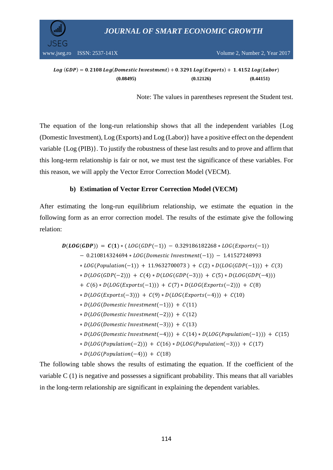

www.jseg.ro ISSN:  $2537 - 141X$  Volume 2, Number 2, Year 2017

 $Log(GDP) = 0.2108 Log(Domestic Investment) + 0.3291 Log(Express) + 1.4152 Log(Labor)$ **(0.08495) (0.12126) (0.44151)**

Note: The values in parentheses represent the Student test.

The equation of the long-run relationship shows that all the independent variables {Log (Domestic Investment), Log (Exports) and Log (Labor)} have a positive effect on the dependent variable {Log (PIB)}. To justify the robustness of these last results and to prove and affirm that this long-term relationship is fair or not, we must test the significance of these variables. For this reason, we will apply the Vector Error Correction Model (VECM).

## **b) Estimation of Vector Error Correction Model (VECM)**

After estimating the long-run equilibrium relationship, we estimate the equation in the following form as an error correction model. The results of the estimate give the following relation:

 $D(LOG(GDP)) = C(1) * (LOG(GDP(-1)) - 0.329186182268 * LOG(Exports(-1)))$  $-0.210814324694 * LOG(Domestic Investment(-1)) - 1.41527248993$  $* LOG(Population(-1)) + 11.9632700073) + C(2)*D(LOG(GDP(-1))) + C(3)$  $* D(LOG(GDP(-2))) + C(4) * D(LOG(GDP(-3))) + C(5) * D(LOG(GDP(-4)))$ +  $C(6) * D(LOG(Exports(-1))) + C(7) * D(LOG(Exports(-2))) + C(8)$  $* D(LOG(Exports(-3))) + C(9) * D(LOG(Exports(-4))) + C(10)$  $* D (LOG (Domestic Investment(-1))) + C(11)$  $* D (LOG (Domestic Investment(-2))) + C(12)$  $* D(LOG(Domestic Investment(-3))) + C(13)$  $* D(LOG(Domestic Investment(-4))) + C(14) * D(LOG(Population(-1))) + C(15)$  $* D(LOG(Population(-2))) + C(16) * D(LOG(Population(-3))) + C(17)$ 

 $* D(LOG(Population(-4))) + C(18)$ 

The following table shows the results of estimating the equation. If the coefficient of the variable C (1) is negative and possesses a significant probability. This means that all variables in the long-term relationship are significant in explaining the dependent variables.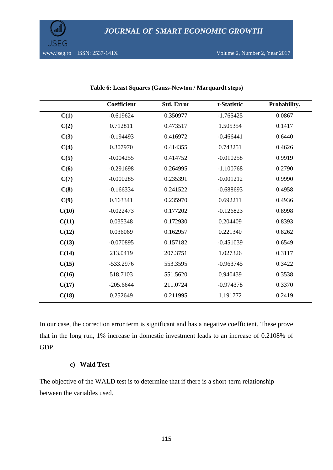

|       | Coefficient | <b>Std. Error</b> | t-Statistic | Probability. |
|-------|-------------|-------------------|-------------|--------------|
| C(1)  | $-0.619624$ | 0.350977          | $-1.765425$ | 0.0867       |
| C(2)  | 0.712811    | 0.473517          | 1.505354    | 0.1417       |
| C(3)  | $-0.194493$ | 0.416972          | $-0.466441$ | 0.6440       |
| C(4)  | 0.307970    | 0.414355          | 0.743251    | 0.4626       |
| C(5)  | $-0.004255$ | 0.414752          | $-0.010258$ | 0.9919       |
| C(6)  | $-0.291698$ | 0.264995          | $-1.100768$ | 0.2790       |
| C(7)  | $-0.000285$ | 0.235391          | $-0.001212$ | 0.9990       |
| C(8)  | $-0.166334$ | 0.241522          | $-0.688693$ | 0.4958       |
| C(9)  | 0.163341    | 0.235970          | 0.692211    | 0.4936       |
| C(10) | $-0.022473$ | 0.177202          | $-0.126823$ | 0.8998       |
| C(11) | 0.035348    | 0.172930          | 0.204409    | 0.8393       |
| C(12) | 0.036069    | 0.162957          | 0.221340    | 0.8262       |
| C(13) | $-0.070895$ | 0.157182          | $-0.451039$ | 0.6549       |
| C(14) | 213.0419    | 207.3751          | 1.027326    | 0.3117       |
| C(15) | -533.2976   | 553.3595          | $-0.963745$ | 0.3422       |
| C(16) | 518.7103    | 551.5620          | 0.940439    | 0.3538       |
| C(17) | $-205.6644$ | 211.0724          | $-0.974378$ | 0.3370       |
| C(18) | 0.252649    | 0.211995          | 1.191772    | 0.2419       |

#### **Table 6: Least Squares (Gauss-Newton / Marquardt steps)**

In our case, the correction error term is significant and has a negative coefficient. These prove that in the long run, 1% increase in domestic investment leads to an increase of 0.2108% of GDP.

## **c) Wald Test**

The objective of the WALD test is to determine that if there is a short-term relationship between the variables used.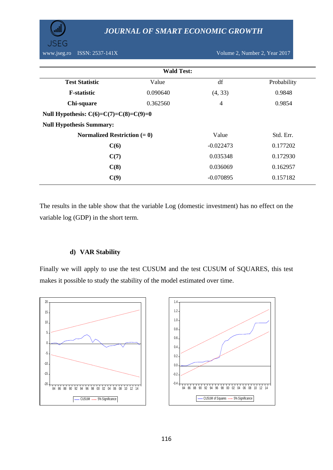

| <b>Wald Test:</b>                        |          |                |             |  |  |  |
|------------------------------------------|----------|----------------|-------------|--|--|--|
| <b>Test Statistic</b>                    | Value    | df             | Probability |  |  |  |
| <b>F</b> -statistic                      | 0.090640 | (4, 33)        | 0.9848      |  |  |  |
| Chi-square                               | 0.362560 | $\overline{4}$ | 0.9854      |  |  |  |
| Null Hypothesis: $C(6)=C(7)=C(8)=C(9)=0$ |          |                |             |  |  |  |
| <b>Null Hypothesis Summary:</b>          |          |                |             |  |  |  |
| Normalized Restriction $(= 0)$           |          | Value          | Std. Err.   |  |  |  |
| C(6)                                     |          | $-0.022473$    | 0.177202    |  |  |  |
| C(7)                                     |          | 0.035348       | 0.172930    |  |  |  |
| C(8)                                     |          | 0.036069       | 0.162957    |  |  |  |
| C(9)                                     |          | $-0.070895$    | 0.157182    |  |  |  |

The results in the table show that the variable Log (domestic investment) has no effect on the variable log (GDP) in the short term.

## **d) VAR Stability**

Finally we will apply to use the test CUSUM and the test CUSUM of SQUARES, this test makes it possible to study the stability of the model estimated over time.



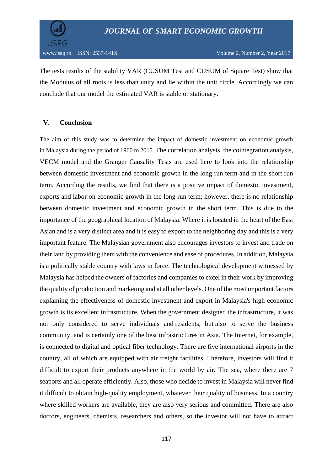

The tests results of the stability VAR (CUSUM Test and CUSUM of Square Test) show that the Modulus of all roots is less than unity and lie within the unit circle. Accordingly we can conclude that our model the estimated VAR is stable or stationary.

## **V. Conclusion**

The aim of this study was to determine the impact of domestic investment on economic growth in Malaysia during the period of 1960 to 2015. The correlation analysis, the cointegration analysis, VECM model and the Granger Causality Tests are used here to look into the relationship between domestic investment and economic growth in the long run term and in the short run term. According the results, we find that there is a positive impact of domestic investment, exports and labor on economic growth in the long run term; however, there is no relationship between domestic investment and economic growth in the short term. This is due to the importance of the geographical location of Malaysia. Where it is located in the heart of the East Asian and is a very distinct area and it is easy to export to the neighboring day and this is a very important feature. The Malaysian government also encourages investors to invest and trade on their land by providing them with the convenience and ease of procedures. In addition, Malaysia is a politically stable country with laws in force. The technological development witnessed by Malaysia has helped the owners of factories and companies to excel in their work by improving the quality of production and marketing and at all other levels. One of the most important factors explaining the effectiveness of domestic investment and export in Malaysia's high economic growth is its excellent infrastructure. When the government designed the infrastructure, it was not only considered to serve individuals and residents, but also to serve the business community, and is certainly one of the best infrastructures in Asia. The Internet, for example, is connected to digital and optical fiber technology. There are five international airports in the country, all of which are equipped with air freight facilities. Therefore, investors will find it difficult to export their products anywhere in the world by air. The sea, where there are 7 seaports and all operate efficiently. Also, those who decide to invest in Malaysia will never find it difficult to obtain high-quality employment, whatever their quality of business. In a country where skilled workers are available, they are also very serious and committed. There are also doctors, engineers, chemists, researchers and others, so the investor will not have to attract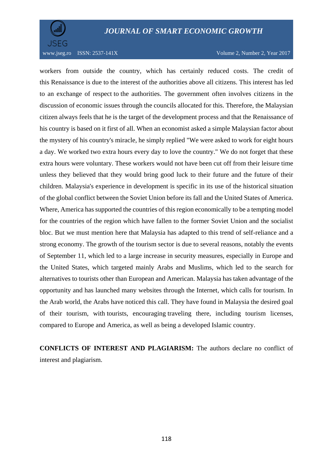

www.jseg.ro ISSN:  $2537-141X$  Volume 2, Number 2, Year 2017

workers from outside the country, which has certainly reduced costs. The credit of this Renaissance is due to the interest of the authorities above all citizens. This interest has led to an exchange of respect to the authorities. The government often involves citizens in the discussion of economic issues through the councils allocated for this. Therefore, the Malaysian citizen always feels that he is the target of the development process and that the Renaissance of his country is based on it first of all. When an economist asked a simple Malaysian factor about the mystery of his country's miracle, he simply replied "We were asked to work for eight hours a day. We worked two extra hours every day to love the country." We do not forget that these extra hours were voluntary. These workers would not have been cut off from their leisure time unless they believed that they would bring good luck to their future and the future of their children. Malaysia's experience in development is specific in its use of the historical situation of the global conflict between the Soviet Union before its fall and the United States of America. Where, America has supported the countries of this region economically to be a tempting model for the countries of the region which have fallen to the former Soviet Union and the socialist bloc. But we must mention here that Malaysia has adapted to this trend of self-reliance and a strong economy. The growth of the tourism sector is due to several reasons, notably the events of September 11, which led to a large increase in security measures, especially in Europe and the United States, which targeted mainly Arabs and Muslims, which led to the search for alternatives to tourists other than European and American. Malaysia has taken advantage of the opportunity and has launched many websites through the Internet, which calls for tourism. In the Arab world, the Arabs have noticed this call. They have found in Malaysia the desired goal of their tourism, with tourists, encouraging traveling there, including tourism licenses, compared to Europe and America, as well as being a developed Islamic country.

**CONFLICTS OF INTEREST AND PLAGIARISM:** The authors declare no conflict of interest and plagiarism.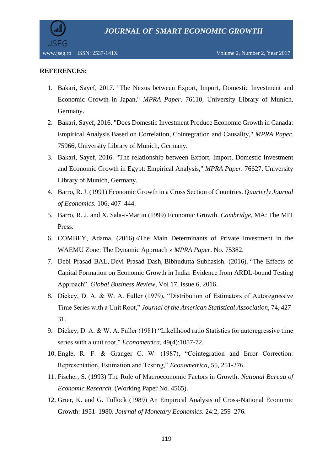

#### **REFERENCES:**

- 1. Bakari, Sayef, 2017. "The Nexus between Export, Import, Domestic Investment and Economic Growth in Japan," *MPRA Paper*. 76110, University Library of Munich, Germany.
- 2. Bakari, Sayef, 2016. "Does Domestic Investment Produce Economic Growth in Canada: Empirical Analysis Based on Correlation, Cointegration and Causality," *MPRA Paper*. 75966, University Library of Munich, Germany.
- 3. Bakari, Sayef, 2016. "The relationship between Export, Import, Domestic Investment and Economic Growth in Egypt: Empirical Analysis," *MPRA Paper.* 76627, University Library of Munich, Germany.
- 4. Barro, R. J. (1991) Economic Growth in a Cross Section of Countries. *Quarterly Journal of Economics.* 106, 407–444.
- 5. Barro, R. J. and X. Sala-i-Martin (1999) Economic Growth. *Cambridge*, MA: The MIT Press.
- 6. COMBEY, Adama. (2016) «The Main Determinants of Private Investment in the WAEMU Zone: The Dynamic Approach » *MPRA Paper*. No. 75382.
- 7. [Debi Prasad BAL,](http://journals.sagepub.com/author/Bal%2C+Debi+Prasad) [Devi Prasad Dash,](http://journals.sagepub.com/author/Dash%2C+Devi+Prasad) [Bibhudutta Subhasish.](http://journals.sagepub.com/author/Subhasish%2C+Bibhudutta) (2016). "The Effects of Capital Formation on Economic Growth in India: Evidence from ARDL-bound Testing Approach". *Global Business Review*, Vol 17, Issue 6, 2016.
- 8. Dickey, D. A. & W. A. Fuller (1979), "Distribution of Estimators of Autoregressive Time Series with a Unit Root," *Journal of the American Statistical Association*, 74, 427- 31.
- 9. Dickey, D. A. & W. A. Fuller (1981) "Likelihood ratio Statistics for autoregressive time series with a unit root," *Econometrica*, 49(4):1057-72.
- 10. Engle, R. F. & Granger C. W. (1987), "Cointegration and Error Correction: Representation, Estimation and Testing," *Econometrica*, 55, 251-276.
- 11. Fischer, S. (1993) The Role of Macroeconomic Factors in Growth. *National Bureau of Economic Research*. (Working Paper No. 4565).
- 12. Grier, K. and G. Tullock (1989) An Empirical Analysis of Cross-National Economic Growth: 1951–1980. *Journal of Monetary Economics.* 24:2, 259–276.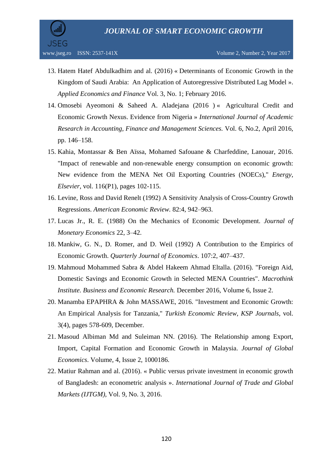

- 13. Hatem Hatef Abdulkadhim and al. (2016) « Determinants of Economic Growth in the Kingdom of Saudi Arabia: An Application of Autoregressive Distributed Lag Model ». *Applied Economics and Finance* Vol. 3, No. 1; February 2016.
- 14. Omosebi Ayeomoni & Saheed A. Aladejana (2016 ) « Agricultural Credit and Economic Growth Nexus. Evidence from Nigeria » *International Journal of Academic Research in Accounting, Finance and Management Sciences.* Vol. 6, No.2, April 2016, pp. 146–158.
- 15. Kahia, Montassar & Ben Aïssa, Mohamed Safouane & Charfeddine, Lanouar, 2016. "Impact of renewable and non-renewable energy consumption on economic growth: New evidence from the MENA Net Oil Exporting Countries (NOECs)," *Energy, Elsevier*, vol. 116(P1), pages 102-115.
- 16. Levine, Ross and David Renelt (1992) A Sensitivity Analysis of Cross-Country Growth Regressions. *American Economic Review.* 82:4, 942–963.
- 17. Lucas Jr., R. E. (1988) On the Mechanics of Economic Development. *Journal of Monetary Economics* 22, 3–42.
- 18. Mankiw, G. N., D. Romer, and D. Weil (1992) A Contribution to the Empirics of Economic Growth. *Quarterly Journal of Economics*. 107:2, 407–437.
- 19. Mahmoud Mohammed Sabra & Abdel Hakeem Ahmad Eltalla. (2016). "Foreign Aid, Domestic Savings and Economic Growth in Selected MENA Countries". *Macrothink Institute. Business and Economic Research.* December 2016, Volume 6, Issue 2.
- 20. Manamba EPAPHRA & John MASSAWE, 2016. "Investment and Economic Growth: An Empirical Analysis for Tanzania," *Turkish Economic Review, KSP Journals*, vol. 3(4), pages 578-609, December.
- 21. Masoud Albiman Md and Suleiman NN. (2016). The Relationship among Export, Import, Capital Formation and Economic Growth in Malaysia. *Journal of Global Economics*. Volume, 4, Issue 2, 1000186.
- 22. Matiur Rahman and al. (2016). « Public versus private investment in economic growth of Bangladesh: an econometric analysis ». *International Journal of Trade and Global Markets (IJTGM),* Vol. 9, No. 3, 2016.